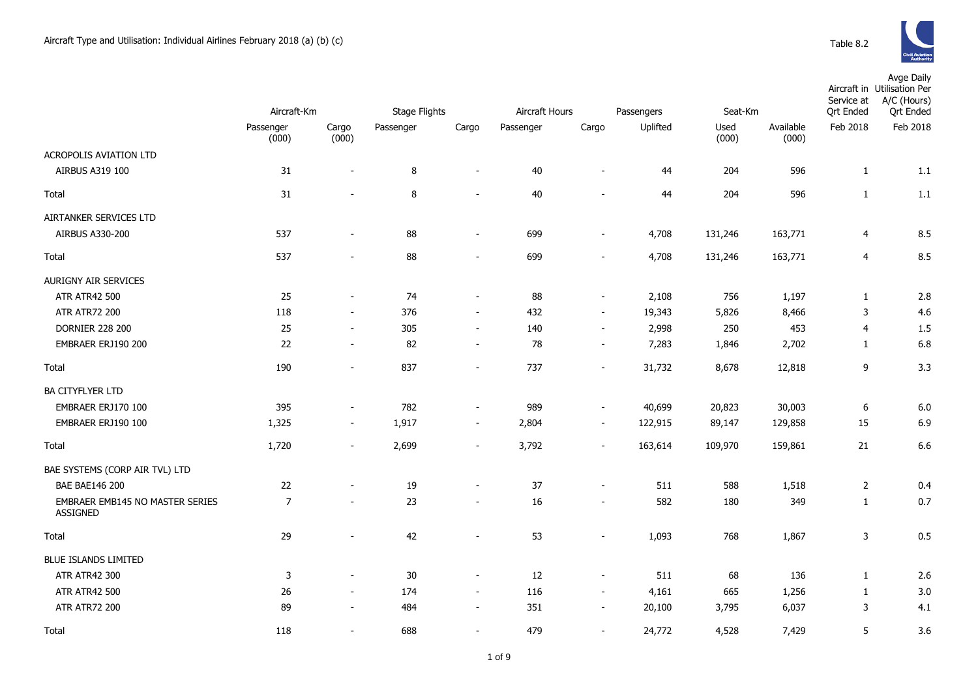

|                                                    | Aircraft-Km    |                          | <b>Stage Flights</b> |                          | Aircraft Hours<br>Passengers |                          |          | Seat-Km |           | Service at<br><b>Qrt Ended</b> | Avge Daily<br>Aircraft in Utilisation Per<br>A/C (Hours)<br><b>Qrt Ended</b> |
|----------------------------------------------------|----------------|--------------------------|----------------------|--------------------------|------------------------------|--------------------------|----------|---------|-----------|--------------------------------|------------------------------------------------------------------------------|
|                                                    | Passenger      | Cargo                    | Passenger            | Cargo                    | Passenger                    | Cargo                    | Uplifted | Used    | Available | Feb 2018                       | Feb 2018                                                                     |
| ACROPOLIS AVIATION LTD                             | (000)          | (000)                    |                      |                          |                              |                          |          | (000)   | (000)     |                                |                                                                              |
| AIRBUS A319 100                                    | 31             | $\overline{\phantom{a}}$ | $\, 8$               | $\sim$                   | 40                           | $\sim$                   | 44       | 204     | 596       | $\mathbf{1}$                   | 1.1                                                                          |
|                                                    |                |                          |                      |                          |                              |                          |          |         |           |                                |                                                                              |
| Total                                              | 31             |                          | 8                    | $\overline{\phantom{a}}$ | 40                           |                          | 44       | 204     | 596       | $\mathbf{1}$                   | 1.1                                                                          |
| AIRTANKER SERVICES LTD                             |                |                          |                      |                          |                              |                          |          |         |           |                                |                                                                              |
| <b>AIRBUS A330-200</b>                             | 537            | $\overline{\phantom{a}}$ | 88                   | $\blacksquare$           | 699                          | $\sim$                   | 4,708    | 131,246 | 163,771   | $\overline{4}$                 | 8.5                                                                          |
| Total                                              | 537            | $\overline{\phantom{a}}$ | 88                   | $\overline{\phantom{a}}$ | 699                          | $\sim$                   | 4,708    | 131,246 | 163,771   | $\overline{4}$                 | 8.5                                                                          |
| AURIGNY AIR SERVICES                               |                |                          |                      |                          |                              |                          |          |         |           |                                |                                                                              |
| <b>ATR ATR42 500</b>                               | 25             | $\sim$                   | 74                   | $\sim$                   | 88                           | $\overline{\phantom{a}}$ | 2,108    | 756     | 1,197     | $\mathbf{1}$                   | 2.8                                                                          |
| <b>ATR ATR72 200</b>                               | 118            | $\sim$                   | 376                  | $\blacksquare$           | 432                          | $\sim$                   | 19,343   | 5,826   | 8,466     | $\mathsf 3$                    | 4.6                                                                          |
| <b>DORNIER 228 200</b>                             | 25             | $\blacksquare$           | 305                  | $\overline{\phantom{a}}$ | 140                          | $\overline{\phantom{a}}$ | 2,998    | 250     | 453       | $\overline{4}$                 | 1.5                                                                          |
| EMBRAER ERJ190 200                                 | 22             | $\blacksquare$           | 82                   | $\overline{\phantom{a}}$ | 78                           | $\overline{\phantom{a}}$ | 7,283    | 1,846   | 2,702     | 1                              | 6.8                                                                          |
| Total                                              | 190            | $\blacksquare$           | 837                  | $\blacksquare$           | 737                          | $\sim$                   | 31,732   | 8,678   | 12,818    | 9                              | 3.3                                                                          |
| <b>BA CITYFLYER LTD</b>                            |                |                          |                      |                          |                              |                          |          |         |           |                                |                                                                              |
| EMBRAER ERJ170 100                                 | 395            | $\sim$                   | 782                  | $\overline{\phantom{a}}$ | 989                          | $\sim$                   | 40,699   | 20,823  | 30,003    | $\boldsymbol{6}$               | 6.0                                                                          |
| EMBRAER ERJ190 100                                 | 1,325          | $\overline{\phantom{a}}$ | 1,917                | $\overline{\phantom{a}}$ | 2,804                        | $\overline{\phantom{a}}$ | 122,915  | 89,147  | 129,858   | 15                             | 6.9                                                                          |
|                                                    |                |                          |                      |                          |                              |                          |          |         |           |                                |                                                                              |
| Total                                              | 1,720          | $\overline{\phantom{a}}$ | 2,699                | $\overline{\phantom{a}}$ | 3,792                        | $\overline{\phantom{a}}$ | 163,614  | 109,970 | 159,861   | 21                             | 6.6                                                                          |
| BAE SYSTEMS (CORP AIR TVL) LTD                     |                |                          |                      |                          |                              |                          |          |         |           |                                |                                                                              |
| <b>BAE BAE146 200</b>                              | 22             |                          | 19                   | $\overline{\phantom{a}}$ | 37                           |                          | 511      | 588     | 1,518     | $\overline{2}$                 | 0.4                                                                          |
| EMBRAER EMB145 NO MASTER SERIES<br><b>ASSIGNED</b> | $\overline{7}$ |                          | 23                   | $\overline{\phantom{a}}$ | 16                           |                          | 582      | 180     | 349       | $\mathbf{1}$                   | 0.7                                                                          |
| Total                                              | 29             |                          | 42                   | $\overline{\phantom{a}}$ | 53                           |                          | 1,093    | 768     | 1,867     | 3                              | 0.5                                                                          |
| <b>BLUE ISLANDS LIMITED</b>                        |                |                          |                      |                          |                              |                          |          |         |           |                                |                                                                              |
| ATR ATR42 300                                      | 3              | $\blacksquare$           | $30\,$               | $\blacksquare$           | 12                           | $\sim$                   | 511      | 68      | 136       | $\mathbf{1}$                   | 2.6                                                                          |
| <b>ATR ATR42 500</b>                               | 26             | $\overline{\phantom{a}}$ | 174                  | $\sim$                   | 116                          | $\sim$                   | 4,161    | 665     | 1,256     | $\mathbf{1}$                   | 3.0                                                                          |
| <b>ATR ATR72 200</b>                               | 89             | $\overline{\phantom{a}}$ | 484                  | $\overline{\phantom{a}}$ | 351                          |                          | 20,100   | 3,795   | 6,037     | 3                              | 4.1                                                                          |
| Total                                              | 118            |                          | 688                  |                          | 479                          |                          | 24,772   | 4,528   | 7,429     | 5                              | 3.6                                                                          |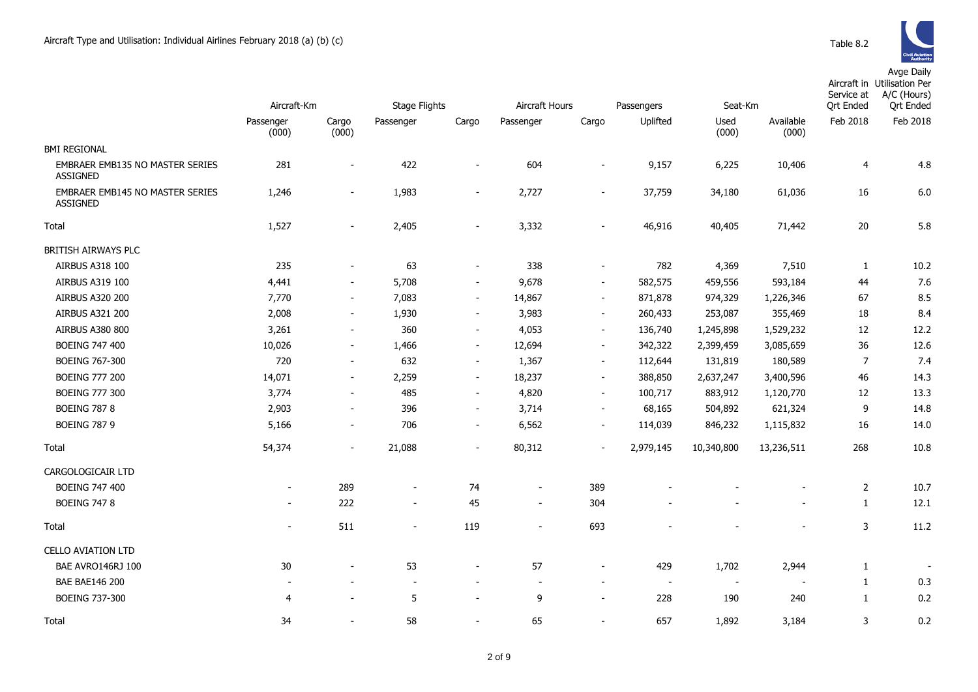|                                                           | Aircraft-Km              |                          | <b>Stage Flights</b>     |                          | Aircraft Hours           |                          | Passengers               | Seat-Km                  |                          | Service at<br><b>Qrt Ended</b> | Aircraft in Utilisation Per<br>A/C (Hours)<br><b>Qrt Ended</b> |
|-----------------------------------------------------------|--------------------------|--------------------------|--------------------------|--------------------------|--------------------------|--------------------------|--------------------------|--------------------------|--------------------------|--------------------------------|----------------------------------------------------------------|
|                                                           | Passenger<br>(000)       | Cargo<br>(000)           | Passenger                | Cargo                    | Passenger                | Cargo                    | Uplifted                 | Used<br>(000)            | Available<br>(000)       | Feb 2018                       | Feb 2018                                                       |
| <b>BMI REGIONAL</b>                                       |                          |                          |                          |                          |                          |                          |                          |                          |                          |                                |                                                                |
| <b>EMBRAER EMB135 NO MASTER SERIES</b><br><b>ASSIGNED</b> | 281                      | $\overline{\phantom{a}}$ | 422                      | $\overline{\phantom{a}}$ | 604                      | $\overline{\phantom{a}}$ | 9,157                    | 6,225                    | 10,406                   | 4                              | 4.8                                                            |
| <b>EMBRAER EMB145 NO MASTER SERIES</b><br><b>ASSIGNED</b> | 1,246                    | $\sim$                   | 1,983                    | $\blacksquare$           | 2,727                    | $\blacksquare$           | 37,759                   | 34,180                   | 61,036                   | 16                             | 6.0                                                            |
| Total                                                     | 1,527                    | $\overline{\phantom{a}}$ | 2,405                    | $\blacksquare$           | 3,332                    |                          | 46,916                   | 40,405                   | 71,442                   | 20                             | 5.8                                                            |
| BRITISH AIRWAYS PLC                                       |                          |                          |                          |                          |                          |                          |                          |                          |                          |                                |                                                                |
| AIRBUS A318 100                                           | 235                      | $\overline{\phantom{a}}$ | 63                       | $\overline{\phantom{a}}$ | 338                      | $\overline{\phantom{a}}$ | 782                      | 4,369                    | 7,510                    | 1                              | 10.2                                                           |
| AIRBUS A319 100                                           | 4,441                    | $\blacksquare$           | 5,708                    | $\overline{\phantom{a}}$ | 9,678                    | $\blacksquare$           | 582,575                  | 459,556                  | 593,184                  | 44                             | 7.6                                                            |
| AIRBUS A320 200                                           | 7,770                    | $\sim$                   | 7,083                    | $\sim$                   | 14,867                   | $\sim$                   | 871,878                  | 974,329                  | 1,226,346                | 67                             | 8.5                                                            |
| AIRBUS A321 200                                           | 2,008                    | $\overline{\phantom{a}}$ | 1,930                    | $\sim$                   | 3,983                    | $\blacksquare$           | 260,433                  | 253,087                  | 355,469                  | 18                             | 8.4                                                            |
| <b>AIRBUS A380 800</b>                                    | 3,261                    | $\overline{\phantom{a}}$ | 360                      | $\overline{\phantom{a}}$ | 4,053                    | $\overline{\phantom{a}}$ | 136,740                  | 1,245,898                | 1,529,232                | 12                             | 12.2                                                           |
| <b>BOEING 747 400</b>                                     | 10,026                   | $\blacksquare$           | 1,466                    | $\sim$                   | 12,694                   | $\overline{\phantom{a}}$ | 342,322                  | 2,399,459                | 3,085,659                | 36                             | 12.6                                                           |
| <b>BOEING 767-300</b>                                     | 720                      | $\blacksquare$           | 632                      | $\sim$                   | 1,367                    | $\blacksquare$           | 112,644                  | 131,819                  | 180,589                  | $\overline{7}$                 | 7.4                                                            |
| <b>BOEING 777 200</b>                                     | 14,071                   | $\blacksquare$           | 2,259                    | $\overline{\phantom{a}}$ | 18,237                   | $\overline{\phantom{a}}$ | 388,850                  | 2,637,247                | 3,400,596                | 46                             | 14.3                                                           |
| <b>BOEING 777 300</b>                                     | 3,774                    | $\overline{\phantom{a}}$ | 485                      | $\sim$                   | 4,820                    | $\sim$                   | 100,717                  | 883,912                  | 1,120,770                | 12                             | 13.3                                                           |
| <b>BOEING 787 8</b>                                       | 2,903                    | $\overline{\phantom{a}}$ | 396                      | $\overline{\phantom{a}}$ | 3,714                    | $\sim$                   | 68,165                   | 504,892                  | 621,324                  | 9                              | 14.8                                                           |
| <b>BOEING 787 9</b>                                       | 5,166                    | $\overline{\phantom{0}}$ | 706                      | $\overline{\phantom{a}}$ | 6,562                    | $\overline{\phantom{a}}$ | 114,039                  | 846,232                  | 1,115,832                | 16                             | 14.0                                                           |
| Total                                                     | 54,374                   | $\overline{\phantom{a}}$ | 21,088                   | $\overline{\phantom{a}}$ | 80,312                   | $\overline{\phantom{a}}$ | 2,979,145                | 10,340,800               | 13,236,511               | 268                            | 10.8                                                           |
| CARGOLOGICAIR LTD                                         |                          |                          |                          |                          |                          |                          |                          |                          |                          |                                |                                                                |
| <b>BOEING 747 400</b>                                     | $\overline{\phantom{a}}$ | 289                      | $\overline{\phantom{a}}$ | 74                       | $\overline{\phantom{a}}$ | 389                      |                          |                          |                          | $\overline{2}$                 | 10.7                                                           |
| <b>BOEING 747 8</b>                                       | $\overline{\phantom{a}}$ | 222                      | $\overline{\phantom{a}}$ | 45                       | $\overline{\phantom{a}}$ | 304                      |                          |                          |                          | $\mathbf{1}$                   | 12.1                                                           |
| Total                                                     | $\overline{\phantom{a}}$ | 511                      | $\overline{\phantom{a}}$ | 119                      | $\overline{\phantom{a}}$ | 693                      |                          |                          |                          | 3                              | 11.2                                                           |
| <b>CELLO AVIATION LTD</b>                                 |                          |                          |                          |                          |                          |                          |                          |                          |                          |                                |                                                                |
| BAE AVRO146RJ 100                                         | 30                       |                          | 53                       | $\overline{\phantom{a}}$ | 57                       | $\overline{\phantom{a}}$ | 429                      | 1,702                    | 2,944                    | 1                              |                                                                |
| <b>BAE BAE146 200</b>                                     | $\overline{\phantom{a}}$ |                          | $\overline{\phantom{a}}$ | $\overline{\phantom{a}}$ | $\overline{\phantom{a}}$ | $\overline{\phantom{a}}$ | $\overline{\phantom{a}}$ | $\overline{\phantom{a}}$ | $\overline{\phantom{a}}$ | $\mathbf{1}$                   | 0.3                                                            |
| <b>BOEING 737-300</b>                                     | $\overline{4}$           |                          | 5                        | $\blacksquare$           | 9                        | $\blacksquare$           | 228                      | 190                      | 240                      | 1                              | 0.2                                                            |
| Total                                                     | 34                       |                          | 58                       | $\sim$                   | 65                       |                          | 657                      | 1.892                    | 3,184                    | 3                              | 0.2                                                            |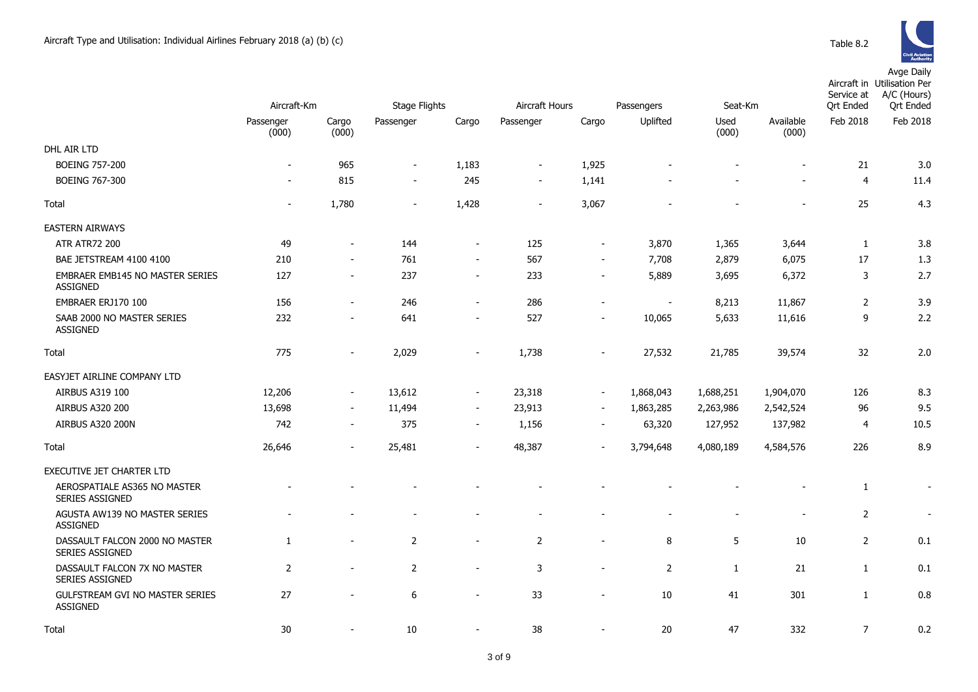|                                                           | Aircraft-Km              |                | <b>Stage Flights</b>     |                          | Aircraft Hours |                          | Passengers     | Seat-Km                      |                    | Service at<br><b>Qrt Ended</b> | Aircraft in Utilisation Per<br>A/C (Hours)<br><b>Qrt Ended</b> |
|-----------------------------------------------------------|--------------------------|----------------|--------------------------|--------------------------|----------------|--------------------------|----------------|------------------------------|--------------------|--------------------------------|----------------------------------------------------------------|
|                                                           | Passenger<br>(000)       | Cargo<br>(000) | Passenger                | Cargo                    | Passenger      | Cargo                    | Uplifted       | Used<br>(000)                | Available<br>(000) | Feb 2018                       | Feb 2018                                                       |
| DHL AIR LTD                                               |                          |                |                          |                          |                |                          |                |                              |                    |                                |                                                                |
| <b>BOEING 757-200</b>                                     | $\overline{\phantom{a}}$ | 965            | $\overline{\phantom{a}}$ | 1,183                    | $\blacksquare$ | 1,925                    |                |                              |                    | 21                             | 3.0                                                            |
| <b>BOEING 767-300</b>                                     | $\overline{\phantom{a}}$ | 815            | $\overline{\phantom{a}}$ | 245                      | $\blacksquare$ | 1,141                    |                |                              |                    | $\overline{4}$                 | 11.4                                                           |
| Total                                                     | $\overline{\phantom{a}}$ | 1,780          | $\overline{\phantom{a}}$ | 1,428                    | $\blacksquare$ | 3,067                    |                |                              |                    | 25                             | 4.3                                                            |
| <b>EASTERN AIRWAYS</b>                                    |                          |                |                          |                          |                |                          |                |                              |                    |                                |                                                                |
| <b>ATR ATR72 200</b>                                      | 49                       |                | 144                      | $\overline{\phantom{a}}$ | 125            | $\overline{a}$           | 3,870          | 1,365                        | 3,644              | 1                              | 3.8                                                            |
| BAE JETSTREAM 4100 4100                                   | 210                      |                | 761                      | $\blacksquare$           | 567            | $\blacksquare$           | 7,708          | 2,879                        | 6,075              | 17                             | 1.3                                                            |
| <b>EMBRAER EMB145 NO MASTER SERIES</b><br><b>ASSIGNED</b> | 127                      | $\sim$         | 237                      | $\overline{\phantom{a}}$ | 233            | $\overline{\phantom{a}}$ | 5,889          | 3,695                        | 6,372              | 3                              | 2.7                                                            |
| EMBRAER ERJ170 100                                        | 156                      | $\sim$         | 246                      | $\sim$                   | 286            | $\blacksquare$           | $\sim$         | 8,213                        | 11,867             | 2                              | 3.9                                                            |
| SAAB 2000 NO MASTER SERIES<br><b>ASSIGNED</b>             | 232                      |                | 641                      | $\blacksquare$           | 527            | $\blacksquare$           | 10,065         | 5,633                        | 11,616             | 9                              | 2.2                                                            |
| Total                                                     | 775                      | $\sim$         | 2,029                    | $\overline{\phantom{a}}$ | 1,738          | $\overline{\phantom{a}}$ | 27,532         | 21,785                       | 39,574             | 32                             | 2.0                                                            |
| EASYJET AIRLINE COMPANY LTD                               |                          |                |                          |                          |                |                          |                |                              |                    |                                |                                                                |
| AIRBUS A319 100                                           | 12,206                   |                | 13,612                   | $\overline{\phantom{a}}$ | 23,318         | $\blacksquare$           | 1,868,043      | 1,688,251                    | 1,904,070          | 126                            | 8.3                                                            |
| <b>AIRBUS A320 200</b>                                    | 13,698                   | $\sim$         | 11,494                   | $\sim$                   | 23,913         | $\overline{\phantom{a}}$ | 1,863,285      | 2,263,986                    | 2,542,524          | 96                             | 9.5                                                            |
| AIRBUS A320 200N                                          | 742                      |                | 375                      | $\sim$                   | 1,156          | $\overline{\phantom{a}}$ | 63,320         | 127,952                      | 137,982            | 4                              | 10.5                                                           |
| Total                                                     | 26,646                   | $\sim$         | 25,481                   | $\sim$                   | 48,387         | $\sim$                   | 3,794,648      | 4,080,189                    | 4,584,576          | 226                            | 8.9                                                            |
| EXECUTIVE JET CHARTER LTD                                 |                          |                |                          |                          |                |                          |                |                              |                    |                                |                                                                |
| AEROSPATIALE AS365 NO MASTER<br>SERIES ASSIGNED           |                          |                |                          |                          |                |                          |                |                              |                    | $\mathbf{1}$                   |                                                                |
| AGUSTA AW139 NO MASTER SERIES<br><b>ASSIGNED</b>          |                          |                |                          |                          | ۰              |                          |                | $\qquad \qquad \blacksquare$ |                    | $\overline{2}$                 | $\overline{\phantom{a}}$                                       |
| DASSAULT FALCON 2000 NO MASTER<br><b>SERIES ASSIGNED</b>  | $\mathbf{1}$             |                | $\overline{2}$           | $\blacksquare$           | $\overline{2}$ | $\overline{a}$           | 8              | 5                            | 10                 | $\overline{2}$                 | 0.1                                                            |
| DASSAULT FALCON 7X NO MASTER<br>SERIES ASSIGNED           | $\overline{2}$           |                | 2                        | $\blacksquare$           | 3              | $\blacksquare$           | $\overline{2}$ | $\mathbf{1}$                 | 21                 | $\mathbf{1}$                   | 0.1                                                            |
| GULFSTREAM GVI NO MASTER SERIES<br>ASSIGNED               | 27                       |                | 6                        | $\blacksquare$           | 33             | $\blacksquare$           | 10             | 41                           | 301                | $\mathbf{1}$                   | 0.8                                                            |
| Total                                                     | 30                       |                | 10                       |                          | 38             | $\blacksquare$           | 20             | 47                           | 332                | $\overline{7}$                 | 0.2                                                            |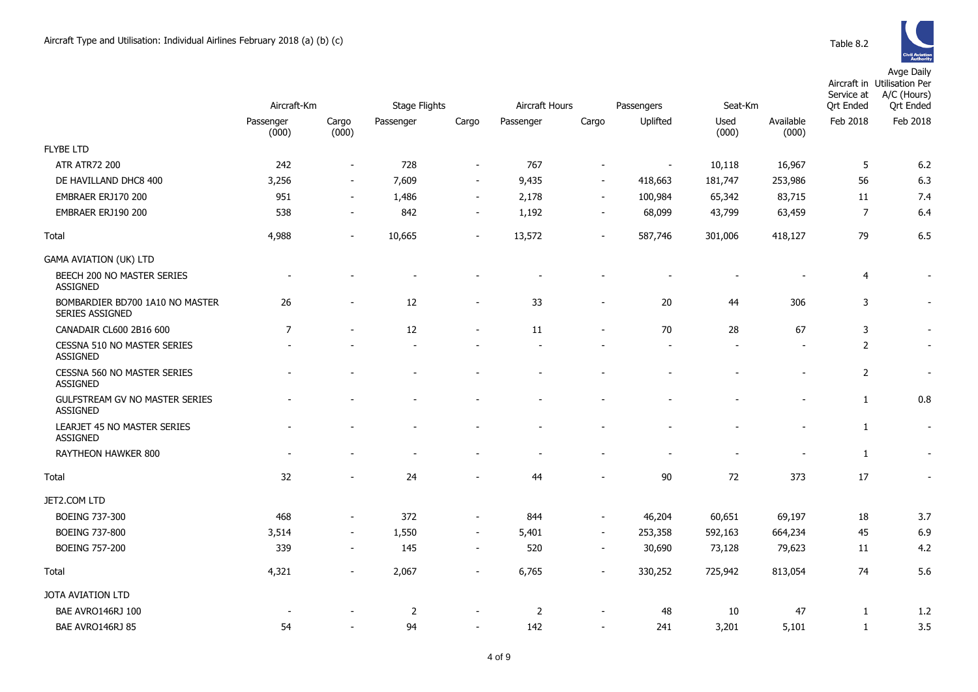|                                                    | Aircraft-Km        |                          | <b>Stage Flights</b> |                          | Aircraft Hours |                          | Passengers     | Seat-Km       |                    | Service at<br><b>Qrt Ended</b> | Aircraft in Utilisation Per<br>A/C (Hours)<br><b>Qrt</b> Ended |
|----------------------------------------------------|--------------------|--------------------------|----------------------|--------------------------|----------------|--------------------------|----------------|---------------|--------------------|--------------------------------|----------------------------------------------------------------|
|                                                    | Passenger<br>(000) | Cargo<br>(000)           | Passenger            | Cargo                    | Passenger      | Cargo                    | Uplifted       | Used<br>(000) | Available<br>(000) | Feb 2018                       | Feb 2018                                                       |
| <b>FLYBE LTD</b>                                   |                    |                          |                      |                          |                |                          |                |               |                    |                                |                                                                |
| <b>ATR ATR72 200</b>                               | 242                | $\overline{\phantom{a}}$ | 728                  | $\overline{\phantom{a}}$ | 767            | $\overline{\phantom{a}}$ | $\blacksquare$ | 10,118        | 16,967             | 5                              | 6.2                                                            |
| DE HAVILLAND DHC8 400                              | 3,256              | $\blacksquare$           | 7,609                | $\blacksquare$           | 9,435          | $\sim$                   | 418,663        | 181,747       | 253,986            | 56                             | 6.3                                                            |
| EMBRAER ERJ170 200                                 | 951                | $\blacksquare$           | 1,486                | $\overline{\phantom{a}}$ | 2,178          | $\sim$                   | 100,984        | 65,342        | 83,715             | 11                             | 7.4                                                            |
| EMBRAER ERJ190 200                                 | 538                | $\blacksquare$           | 842                  | $\sim$                   | 1,192          | $\sim$                   | 68,099         | 43,799        | 63,459             | $\overline{7}$                 | 6.4                                                            |
| Total                                              | 4,988              | $\blacksquare$           | 10,665               | $\overline{\phantom{a}}$ | 13,572         | $\blacksquare$           | 587,746        | 301,006       | 418,127            | 79                             | 6.5                                                            |
| <b>GAMA AVIATION (UK) LTD</b>                      |                    |                          |                      |                          |                |                          |                |               |                    |                                |                                                                |
| BEECH 200 NO MASTER SERIES<br><b>ASSIGNED</b>      |                    |                          |                      |                          |                |                          |                |               |                    | $\overline{4}$                 |                                                                |
| BOMBARDIER BD700 1A10 NO MASTER<br>SERIES ASSIGNED | 26                 |                          | 12                   |                          | 33             |                          | 20             | 44            | 306                | 3                              | $\blacksquare$                                                 |
| CANADAIR CL600 2B16 600                            | $\overline{7}$     |                          | 12                   | $\overline{\phantom{a}}$ | 11             | $\overline{\phantom{a}}$ | 70             | 28            | 67                 | 3                              | $\overline{\phantom{a}}$                                       |
| CESSNA 510 NO MASTER SERIES<br><b>ASSIGNED</b>     |                    |                          |                      |                          |                |                          |                |               |                    | $\overline{2}$                 | $\blacksquare$                                                 |
| CESSNA 560 NO MASTER SERIES<br><b>ASSIGNED</b>     |                    |                          |                      |                          |                |                          |                |               |                    | $\overline{2}$                 | $\overline{\phantom{a}}$                                       |
| GULFSTREAM GV NO MASTER SERIES<br><b>ASSIGNED</b>  |                    |                          |                      |                          |                |                          |                |               |                    | $\mathbf{1}$                   | 0.8                                                            |
| LEARJET 45 NO MASTER SERIES<br><b>ASSIGNED</b>     |                    |                          |                      |                          |                |                          |                |               |                    | 1                              | $\sim$                                                         |
| <b>RAYTHEON HAWKER 800</b>                         |                    |                          |                      |                          |                |                          |                |               |                    | $\mathbf{1}$                   | $\blacksquare$                                                 |
| Total                                              | 32                 |                          | 24                   |                          | 44             |                          | $90\,$         | 72            | 373                | 17                             | $\blacksquare$                                                 |
| JET2.COM LTD                                       |                    |                          |                      |                          |                |                          |                |               |                    |                                |                                                                |
| <b>BOEING 737-300</b>                              | 468                | $\blacksquare$           | 372                  | $\overline{\phantom{a}}$ | 844            | $\sim$                   | 46,204         | 60,651        | 69,197             | 18                             | 3.7                                                            |
| <b>BOEING 737-800</b>                              | 3,514              | $\overline{\phantom{a}}$ | 1,550                | $\sim$                   | 5,401          | $\sim$                   | 253,358        | 592,163       | 664,234            | 45                             | 6.9                                                            |
| <b>BOEING 757-200</b>                              | 339                | $\overline{\phantom{a}}$ | 145                  | $\sim$                   | 520            | $\sim$                   | 30,690         | 73,128        | 79,623             | 11                             | 4.2                                                            |
| Total                                              | 4,321              |                          | 2,067                | $\overline{a}$           | 6,765          |                          | 330,252        | 725,942       | 813,054            | 74                             | 5.6                                                            |
| JOTA AVIATION LTD                                  |                    |                          |                      |                          |                |                          |                |               |                    |                                |                                                                |
| BAE AVRO146RJ 100                                  |                    |                          | 2                    |                          | 2              |                          | 48             | 10            | 47                 | 1                              | 1.2                                                            |
| BAE AVRO146RJ 85                                   | 54                 |                          | 94                   | $\overline{\phantom{a}}$ | 142            | $\overline{\phantom{a}}$ | 241            | 3,201         | 5,101              | 1                              | 3.5                                                            |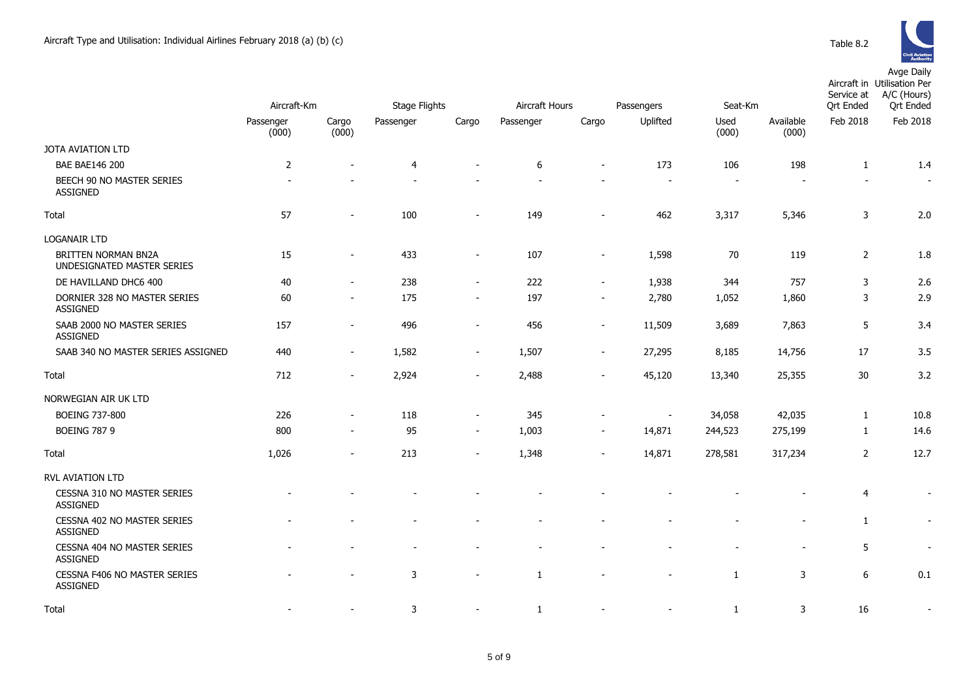

|                                                          | Aircraft-Km        |                          | <b>Stage Flights</b> |                          | Aircraft Hours<br>Passengers |                          |                          | Seat-Km       |                    | Service at<br><b>Qrt Ended</b> | Aircraft in Utilisation Per<br>A/C (Hours)<br><b>Qrt Ended</b> |
|----------------------------------------------------------|--------------------|--------------------------|----------------------|--------------------------|------------------------------|--------------------------|--------------------------|---------------|--------------------|--------------------------------|----------------------------------------------------------------|
|                                                          | Passenger<br>(000) | Cargo<br>(000)           | Passenger            | Cargo                    | Passenger                    | Cargo                    | Uplifted                 | Used<br>(000) | Available<br>(000) | Feb 2018                       | Feb 2018                                                       |
| JOTA AVIATION LTD                                        |                    |                          |                      |                          |                              |                          |                          |               |                    |                                |                                                                |
| <b>BAE BAE146 200</b>                                    | $\overline{2}$     |                          | $\overline{4}$       |                          | 6                            | $\overline{\phantom{a}}$ | 173                      | 106           | 198                | $\mathbf{1}$                   | 1.4                                                            |
| BEECH 90 NO MASTER SERIES<br>ASSIGNED                    |                    |                          |                      |                          |                              |                          |                          |               |                    |                                | $\overline{\phantom{a}}$                                       |
| Total                                                    | 57                 | $\overline{\phantom{a}}$ | 100                  | $\overline{\phantom{a}}$ | 149                          | $\overline{\phantom{a}}$ | 462                      | 3,317         | 5,346              | 3                              | 2.0                                                            |
| <b>LOGANAIR LTD</b>                                      |                    |                          |                      |                          |                              |                          |                          |               |                    |                                |                                                                |
| <b>BRITTEN NORMAN BN2A</b><br>UNDESIGNATED MASTER SERIES | 15                 | $\overline{\phantom{a}}$ | 433                  | $\blacksquare$           | 107                          | $\overline{\phantom{a}}$ | 1,598                    | 70            | 119                | $\overline{2}$                 | 1.8                                                            |
| DE HAVILLAND DHC6 400                                    | 40                 | $\overline{\phantom{a}}$ | 238                  | $\overline{\phantom{m}}$ | 222                          | $\overline{\phantom{a}}$ | 1,938                    | 344           | 757                | 3                              | 2.6                                                            |
| DORNIER 328 NO MASTER SERIES<br>ASSIGNED                 | 60                 | $\overline{\phantom{a}}$ | 175                  | $\blacksquare$           | 197                          | $\overline{\phantom{a}}$ | 2,780                    | 1,052         | 1,860              | 3                              | 2.9                                                            |
| SAAB 2000 NO MASTER SERIES<br><b>ASSIGNED</b>            | 157                | $\blacksquare$           | 496                  | $\blacksquare$           | 456                          | $\overline{\phantom{a}}$ | 11,509                   | 3,689         | 7,863              | 5                              | 3.4                                                            |
| SAAB 340 NO MASTER SERIES ASSIGNED                       | 440                | $\blacksquare$           | 1,582                | $\blacksquare$           | 1,507                        | $\sim$                   | 27,295                   | 8,185         | 14,756             | 17                             | 3.5                                                            |
| Total                                                    | 712                | $\blacksquare$           | 2,924                | $\overline{\phantom{a}}$ | 2,488                        |                          | 45,120                   | 13,340        | 25,355             | 30                             | 3.2                                                            |
| NORWEGIAN AIR UK LTD                                     |                    |                          |                      |                          |                              |                          |                          |               |                    |                                |                                                                |
| <b>BOEING 737-800</b>                                    | 226                | $\overline{\phantom{a}}$ | 118                  | $\overline{\phantom{m}}$ | 345                          | -                        | $\overline{\phantom{a}}$ | 34,058        | 42,035             | $\mathbf{1}$                   | 10.8                                                           |
| <b>BOEING 787 9</b>                                      | 800                | $\overline{\phantom{a}}$ | 95                   | $\overline{\phantom{a}}$ | 1,003                        | $\overline{\phantom{a}}$ | 14,871                   | 244,523       | 275,199            | $\mathbf{1}$                   | 14.6                                                           |
| Total                                                    | 1,026              |                          | 213                  | $\overline{\phantom{a}}$ | 1,348                        | ÷,                       | 14,871                   | 278,581       | 317,234            | $\overline{2}$                 | 12.7                                                           |
| <b>RVL AVIATION LTD</b>                                  |                    |                          |                      |                          |                              |                          |                          |               |                    |                                |                                                                |
| CESSNA 310 NO MASTER SERIES<br><b>ASSIGNED</b>           |                    |                          |                      |                          |                              |                          |                          |               |                    | $\overline{4}$                 | $\overline{\phantom{a}}$                                       |
| CESSNA 402 NO MASTER SERIES<br>ASSIGNED                  |                    |                          |                      |                          |                              |                          |                          |               |                    | $\mathbf{1}$                   | $\overline{\phantom{a}}$                                       |
| CESSNA 404 NO MASTER SERIES<br>ASSIGNED                  |                    |                          |                      |                          |                              |                          |                          |               |                    | 5                              | $\overline{\phantom{a}}$                                       |
| CESSNA F406 NO MASTER SERIES<br><b>ASSIGNED</b>          |                    | $\overline{a}$           | 3                    | $\overline{\phantom{a}}$ | 1                            |                          |                          | 1             | 3                  | 6                              | 0.1                                                            |
| Total                                                    |                    | $\overline{\phantom{a}}$ | 3                    | $\blacksquare$           | 1                            |                          |                          | 1             | 3                  | 16                             | $\overline{\phantom{a}}$                                       |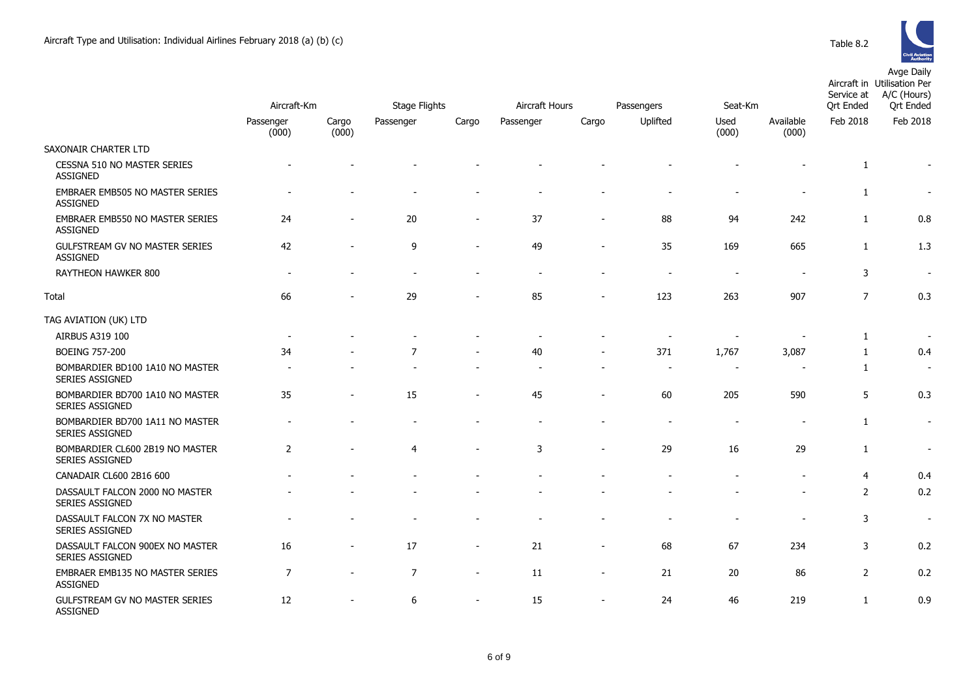

|                                                           |                    |                |                      |                              | Aircraft Hours<br>Passengers |                          |          |                          |                    | Service at       | Aircraft in Utilisation Per<br>A/C (Hours) |
|-----------------------------------------------------------|--------------------|----------------|----------------------|------------------------------|------------------------------|--------------------------|----------|--------------------------|--------------------|------------------|--------------------------------------------|
|                                                           | Aircraft-Km        |                | <b>Stage Flights</b> |                              |                              |                          |          | Seat-Km                  |                    | <b>Ort Ended</b> | <b>Qrt</b> Ended                           |
|                                                           | Passenger<br>(000) | Cargo<br>(000) | Passenger            | Cargo                        | Passenger                    | Cargo                    | Uplifted | Used<br>(000)            | Available<br>(000) | Feb 2018         | Feb 2018                                   |
| SAXONAIR CHARTER LTD                                      |                    |                |                      |                              |                              |                          |          |                          |                    |                  |                                            |
| CESSNA 510 NO MASTER SERIES<br><b>ASSIGNED</b>            |                    |                |                      |                              |                              |                          |          |                          |                    | 1                |                                            |
| EMBRAER EMB505 NO MASTER SERIES<br><b>ASSIGNED</b>        |                    |                |                      |                              |                              |                          |          |                          |                    | $\mathbf{1}$     | $\overline{\phantom{a}}$                   |
| EMBRAER EMB550 NO MASTER SERIES<br><b>ASSIGNED</b>        | 24                 | $\overline{a}$ | 20                   | ۰                            | 37                           | $\blacksquare$           | 88       | 94                       | 242                | $\mathbf{1}$     | 0.8                                        |
| GULFSTREAM GV NO MASTER SERIES<br><b>ASSIGNED</b>         | 42                 |                | 9                    | $\overline{a}$               | 49                           | $\overline{a}$           | 35       | 169                      | 665                | $\mathbf{1}$     | 1.3                                        |
| RAYTHEON HAWKER 800                                       |                    |                |                      |                              |                              |                          |          |                          |                    | 3                | $\overline{\phantom{a}}$                   |
| Total                                                     | 66                 |                | 29                   |                              | 85                           | $\overline{a}$           | 123      | 263                      | 907                | $\overline{7}$   | 0.3                                        |
| TAG AVIATION (UK) LTD                                     |                    |                |                      |                              |                              |                          |          |                          |                    |                  |                                            |
| AIRBUS A319 100                                           |                    |                |                      |                              |                              |                          |          | $\overline{\phantom{a}}$ |                    | $\mathbf{1}$     | $\overline{\phantom{a}}$                   |
| <b>BOEING 757-200</b>                                     | 34                 |                | $\overline{7}$       | $\sim$                       | 40                           | $\overline{\phantom{a}}$ | 371      | 1,767                    | 3,087              | 1                | 0.4                                        |
| BOMBARDIER BD100 1A10 NO MASTER<br>SERIES ASSIGNED        |                    |                |                      |                              |                              |                          |          |                          |                    | 1                | $\sim$                                     |
| BOMBARDIER BD700 1A10 NO MASTER<br>SERIES ASSIGNED        | 35                 | ۰              | 15                   |                              | 45                           | $\overline{\phantom{a}}$ | 60       | 205                      | 590                | 5                | 0.3                                        |
| BOMBARDIER BD700 1A11 NO MASTER<br>SERIES ASSIGNED        |                    |                |                      |                              |                              |                          |          | $\sim$                   |                    | $\mathbf{1}$     | $\blacksquare$                             |
| BOMBARDIER CL600 2B19 NO MASTER<br><b>SERIES ASSIGNED</b> | $\overline{2}$     |                | $\overline{4}$       | $\blacksquare$               | 3                            | $\overline{\phantom{a}}$ | 29       | 16                       | 29                 | $\mathbf{1}$     | $\blacksquare$                             |
| CANADAIR CL600 2B16 600                                   |                    |                |                      |                              |                              |                          |          |                          |                    | $\overline{4}$   | 0.4                                        |
| DASSAULT FALCON 2000 NO MASTER<br><b>SERIES ASSIGNED</b>  |                    |                |                      |                              |                              |                          |          |                          |                    | $\overline{2}$   | 0.2                                        |
| DASSAULT FALCON 7X NO MASTER<br>SERIES ASSIGNED           |                    |                |                      |                              |                              |                          |          |                          |                    | 3                | $\overline{\phantom{a}}$                   |
| DASSAULT FALCON 900EX NO MASTER<br>SERIES ASSIGNED        | 16                 |                | 17                   | $\blacksquare$               | 21                           | $\overline{a}$           | 68       | 67                       | 234                | 3                | 0.2                                        |
| EMBRAER EMB135 NO MASTER SERIES<br><b>ASSIGNED</b>        | $\overline{7}$     | $\overline{a}$ | $\overline{7}$       | $\overline{\phantom{a}}$     | 11                           | $\overline{\phantom{a}}$ | 21       | 20                       | 86                 | $\overline{2}$   | 0.2                                        |
| <b>GULFSTREAM GV NO MASTER SERIES</b><br><b>ASSIGNED</b>  | 12                 |                | 6                    | $\qquad \qquad \blacksquare$ | 15                           | $\overline{a}$           | 24       | 46                       | 219                | $\mathbf{1}$     | 0.9                                        |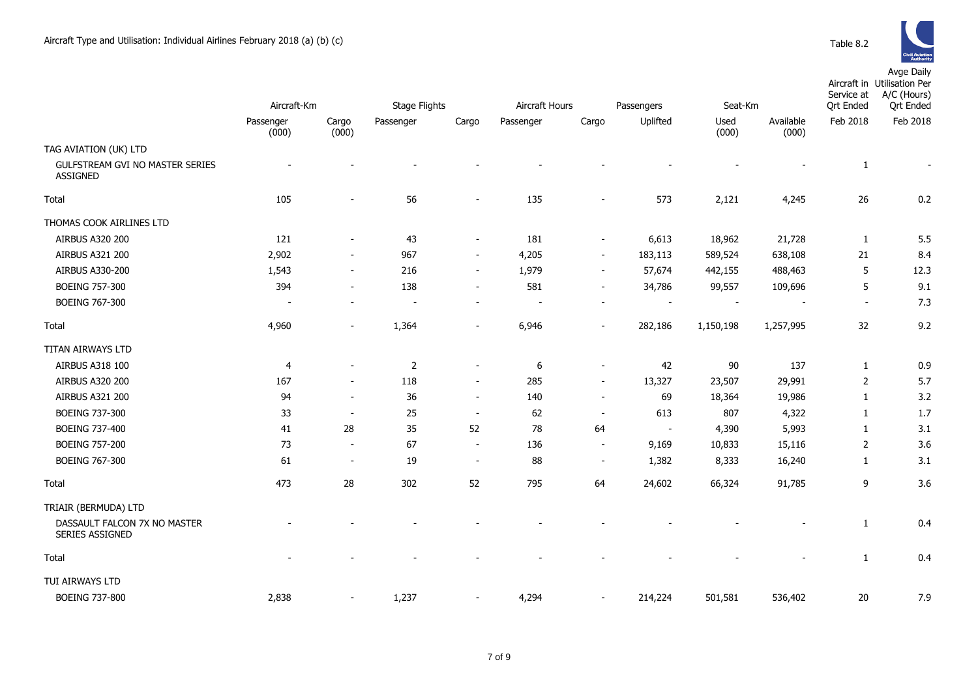

|                                                    |                    |                          |                      |                          |                |                          |            |               |                    | Service at       | Aircraft in Utilisation Per<br>A/C (Hours) |
|----------------------------------------------------|--------------------|--------------------------|----------------------|--------------------------|----------------|--------------------------|------------|---------------|--------------------|------------------|--------------------------------------------|
|                                                    | Aircraft-Km        |                          | <b>Stage Flights</b> |                          | Aircraft Hours |                          | Passengers | Seat-Km       |                    | <b>Qrt Ended</b> | <b>Qrt Ended</b>                           |
|                                                    | Passenger<br>(000) | Cargo<br>(000)           | Passenger            | Cargo                    | Passenger      | Cargo                    | Uplifted   | Used<br>(000) | Available<br>(000) | Feb 2018         | Feb 2018                                   |
| TAG AVIATION (UK) LTD                              |                    |                          |                      |                          |                |                          |            |               |                    |                  |                                            |
| GULFSTREAM GVI NO MASTER SERIES<br><b>ASSIGNED</b> |                    |                          |                      |                          |                |                          |            |               |                    | $\mathbf{1}$     |                                            |
| Total                                              | 105                |                          | 56                   |                          | 135            |                          | 573        | 2,121         | 4,245              | 26               | 0.2                                        |
| THOMAS COOK AIRLINES LTD                           |                    |                          |                      |                          |                |                          |            |               |                    |                  |                                            |
| <b>AIRBUS A320 200</b>                             | 121                |                          | 43                   |                          | 181            | $\overline{\phantom{a}}$ | 6,613      | 18,962        | 21,728             | 1                | 5.5                                        |
| AIRBUS A321 200                                    | 2,902              |                          | 967                  |                          | 4,205          | $\sim$                   | 183,113    | 589,524       | 638,108            | 21               | 8.4                                        |
| <b>AIRBUS A330-200</b>                             | 1,543              |                          | 216                  | $\overline{\phantom{a}}$ | 1,979          | $\sim$                   | 57,674     | 442,155       | 488,463            | 5                | 12.3                                       |
| BOEING 757-300                                     | 394                |                          | 138                  |                          | 581            |                          | 34,786     | 99,557        | 109,696            | 5                | 9.1                                        |
| <b>BOEING 767-300</b>                              |                    |                          |                      |                          |                |                          |            |               |                    |                  | 7.3                                        |
| Total                                              | 4,960              |                          | 1,364                |                          | 6,946          |                          | 282,186    | 1,150,198     | 1,257,995          | 32               | 9.2                                        |
| TITAN AIRWAYS LTD                                  |                    |                          |                      |                          |                |                          |            |               |                    |                  |                                            |
| AIRBUS A318 100                                    | 4                  |                          | $\overline{2}$       |                          | 6              |                          | 42         | 90            | 137                | 1                | 0.9                                        |
| <b>AIRBUS A320 200</b>                             | 167                |                          | 118                  | $\overline{\phantom{a}}$ | 285            | $\overline{\phantom{a}}$ | 13,327     | 23,507        | 29,991             | 2                | 5.7                                        |
| AIRBUS A321 200                                    | 94                 | $\sim$                   | 36                   | $\overline{\phantom{a}}$ | 140            | $\blacksquare$           | 69         | 18,364        | 19,986             | 1                | 3.2                                        |
| BOEING 737-300                                     | 33                 |                          | 25                   | $\overline{\phantom{a}}$ | 62             | $\overline{\phantom{a}}$ | 613        | 807           | 4,322              | $\mathbf{1}$     | 1.7                                        |
| <b>BOEING 737-400</b>                              | 41                 | 28                       | 35                   | 52                       | 78             | 64                       | $\sim$     | 4,390         | 5,993              | 1                | 3.1                                        |
| <b>BOEING 757-200</b>                              | 73                 | $\overline{\phantom{a}}$ | 67                   | $\blacksquare$           | 136            | $\blacksquare$           | 9,169      | 10,833        | 15,116             | $\overline{2}$   | 3.6                                        |
| <b>BOEING 767-300</b>                              | 61                 | $\overline{\phantom{a}}$ | 19                   | $\overline{\phantom{a}}$ | 88             | $\overline{\phantom{a}}$ | 1,382      | 8,333         | 16,240             | $\mathbf{1}$     | 3.1                                        |
| Total                                              | 473                | 28                       | 302                  | 52                       | 795            | 64                       | 24,602     | 66,324        | 91,785             | 9                | 3.6                                        |
| TRIAIR (BERMUDA) LTD                               |                    |                          |                      |                          |                |                          |            |               |                    |                  |                                            |
| DASSAULT FALCON 7X NO MASTER<br>SERIES ASSIGNED    |                    |                          |                      |                          |                |                          |            |               |                    | $\mathbf{1}$     | 0.4                                        |
| Total                                              |                    |                          |                      |                          |                |                          |            |               |                    | $\mathbf{1}$     | 0.4                                        |
| TUI AIRWAYS LTD                                    |                    |                          |                      |                          |                |                          |            |               |                    |                  |                                            |
| BOEING 737-800                                     | 2,838              |                          | 1,237                |                          | 4,294          |                          | 214,224    | 501,581       | 536,402            | 20               | 7.9                                        |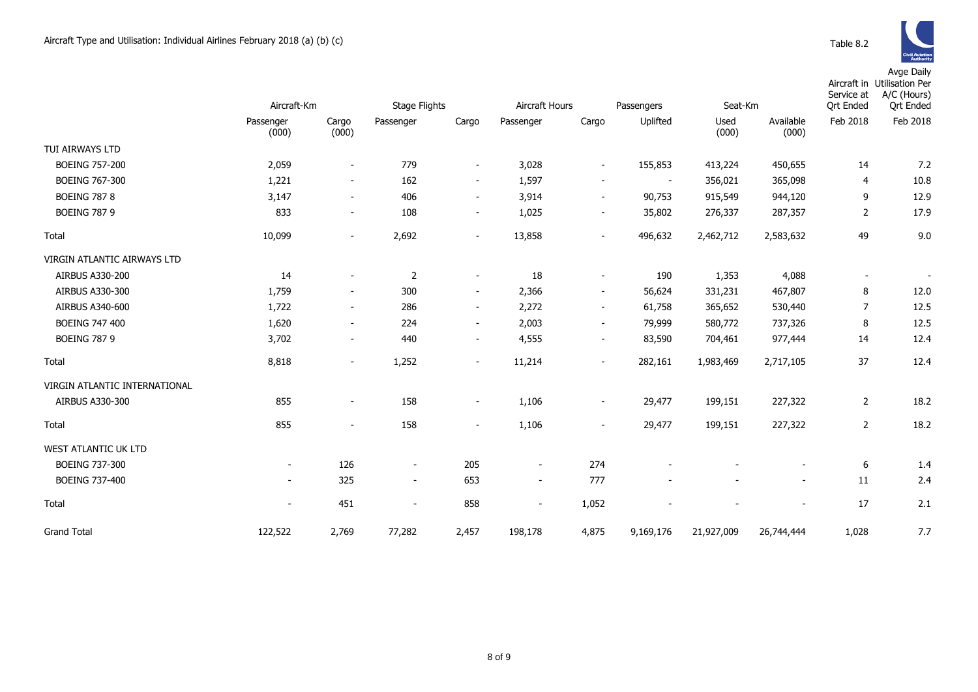|                               | Aircraft-Km              |                          | <b>Stage Flights</b>     |                          | Aircraft Hours           |                          | Passengers     | Seat-Km       |                          | Service at<br><b>Qrt Ended</b> | Aircraft in Utilisation Per<br>A/C (Hours)<br><b>Qrt Ended</b> |
|-------------------------------|--------------------------|--------------------------|--------------------------|--------------------------|--------------------------|--------------------------|----------------|---------------|--------------------------|--------------------------------|----------------------------------------------------------------|
|                               | Passenger<br>(000)       | Cargo<br>(000)           | Passenger                | Cargo                    | Passenger                | Cargo                    | Uplifted       | Used<br>(000) | Available<br>(000)       | Feb 2018                       | Feb 2018                                                       |
| TUI AIRWAYS LTD               |                          |                          |                          |                          |                          |                          |                |               |                          |                                |                                                                |
| <b>BOEING 757-200</b>         | 2,059                    | $\overline{\phantom{a}}$ | 779                      | $\blacksquare$           | 3,028                    | $\overline{\phantom{a}}$ | 155,853        | 413,224       | 450,655                  | 14                             | 7.2                                                            |
| BOEING 767-300                | 1,221                    | $\sim$                   | 162                      | $\sim$                   | 1,597                    | $\overline{\phantom{a}}$ | $\blacksquare$ | 356,021       | 365,098                  | 4                              | 10.8                                                           |
| <b>BOEING 787 8</b>           | 3,147                    | $\overline{\phantom{a}}$ | 406                      | $\sim$                   | 3,914                    | $\overline{\phantom{a}}$ | 90,753         | 915,549       | 944,120                  | 9                              | 12.9                                                           |
| <b>BOEING 787 9</b>           | 833                      | $\sim$                   | 108                      | $\overline{\phantom{a}}$ | 1,025                    | $\overline{\phantom{a}}$ | 35,802         | 276,337       | 287,357                  | $\overline{2}$                 | 17.9                                                           |
| Total                         | 10,099                   | $\sim$                   | 2,692                    | $\overline{\phantom{a}}$ | 13,858                   | $\blacksquare$           | 496,632        | 2,462,712     | 2,583,632                | 49                             | 9.0                                                            |
| VIRGIN ATLANTIC AIRWAYS LTD   |                          |                          |                          |                          |                          |                          |                |               |                          |                                |                                                                |
| AIRBUS A330-200               | 14                       | $\blacksquare$           | 2                        | $\overline{\phantom{a}}$ | 18                       | $\overline{\phantom{a}}$ | 190            | 1,353         | 4,088                    | $\sim$                         | $\sim$                                                         |
| AIRBUS A330-300               | 1,759                    | $\sim$                   | 300                      | $\sim$                   | 2,366                    | $\overline{\phantom{a}}$ | 56,624         | 331,231       | 467,807                  | 8                              | 12.0                                                           |
| AIRBUS A340-600               | 1,722                    | $\overline{\phantom{a}}$ | 286                      | $\overline{\phantom{a}}$ | 2,272                    | $\overline{\phantom{a}}$ | 61,758         | 365,652       | 530,440                  | $\overline{7}$                 | 12.5                                                           |
| <b>BOEING 747 400</b>         | 1,620                    | $\sim$                   | 224                      | $\sim$                   | 2,003                    | $\overline{\phantom{a}}$ | 79,999         | 580,772       | 737,326                  | 8                              | 12.5                                                           |
| <b>BOEING 787 9</b>           | 3,702                    | $\overline{\phantom{a}}$ | 440                      | $\overline{\phantom{a}}$ | 4,555                    | $\overline{\phantom{a}}$ | 83,590         | 704,461       | 977,444                  | 14                             | 12.4                                                           |
| Total                         | 8,818                    | $\sim$                   | 1,252                    | $\overline{\phantom{a}}$ | 11,214                   | $\blacksquare$           | 282,161        | 1,983,469     | 2,717,105                | 37                             | 12.4                                                           |
| VIRGIN ATLANTIC INTERNATIONAL |                          |                          |                          |                          |                          |                          |                |               |                          |                                |                                                                |
| AIRBUS A330-300               | 855                      | $\overline{\phantom{a}}$ | 158                      | $\overline{\phantom{a}}$ | 1,106                    | $\overline{\phantom{a}}$ | 29,477         | 199,151       | 227,322                  | $\overline{2}$                 | 18.2                                                           |
| Total                         | 855                      | $\overline{\phantom{a}}$ | 158                      | $\overline{\phantom{a}}$ | 1,106                    | $\overline{\phantom{a}}$ | 29,477         | 199,151       | 227,322                  | $\overline{2}$                 | 18.2                                                           |
| WEST ATLANTIC UK LTD          |                          |                          |                          |                          |                          |                          |                |               |                          |                                |                                                                |
| BOEING 737-300                | $\sim$                   | 126                      | $\overline{\phantom{a}}$ | 205                      | $\blacksquare$           | 274                      |                |               |                          | 6                              | 1.4                                                            |
| BOEING 737-400                | $\sim$                   | 325                      | $\overline{\phantom{a}}$ | 653                      | $\overline{\phantom{a}}$ | 777                      |                |               |                          | 11                             | 2.4                                                            |
| Total                         | $\overline{\phantom{a}}$ | 451                      | $\overline{\phantom{a}}$ | 858                      | $\overline{\phantom{a}}$ | 1,052                    |                |               | $\overline{\phantom{a}}$ | 17                             | 2.1                                                            |
| <b>Grand Total</b>            | 122,522                  | 2,769                    | 77,282                   | 2,457                    | 198,178                  | 4,875                    | 9,169,176      | 21,927,009    | 26,744,444               | 1,028                          | 7.7                                                            |